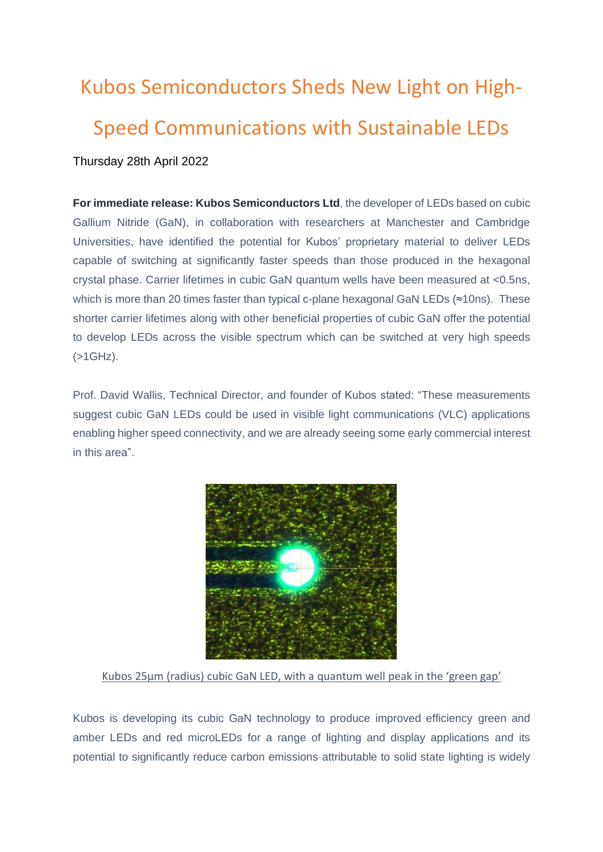## Kubos Semiconductors Sheds New Light on High-Speed Communications with Sustainable LEDs Thursday 28th April 2022

**For immediate release: Kubos Semiconductors Ltd**, the developer of LEDs based on cubic Gallium Nitride (GaN), in collaboration with researchers at Manchester and Cambridge Universities, have identified the potential for Kubos' proprietary material to deliver LEDs capable of switching at significantly faster speeds than those produced in the hexagonal crystal phase. Carrier lifetimes in cubic GaN quantum wells have been measured at <0.5ns, which is more than 20 times faster than typical c-plane hexagonal GaN LEDs (≈10ns). These shorter carrier lifetimes along with other beneficial properties of cubic GaN offer the potential to develop LEDs across the visible spectrum which can be switched at very high speeds (>1GHz).

Prof. David Wallis, Technical Director, and founder of Kubos stated: "These measurements suggest cubic GaN LEDs could be used in visible light communications (VLC) applications enabling higher speed connectivity, and we are already seeing some early commercial interest in this area".



Kubos 25μm (radius) cubic GaN LED, with a quantum well peak in the 'green gap'

Kubos is developing its cubic GaN technology to produce improved efficiency green and amber LEDs and red microLEDs for a range of lighting and display applications and its potential to significantly reduce carbon emissions attributable to solid state lighting is widely